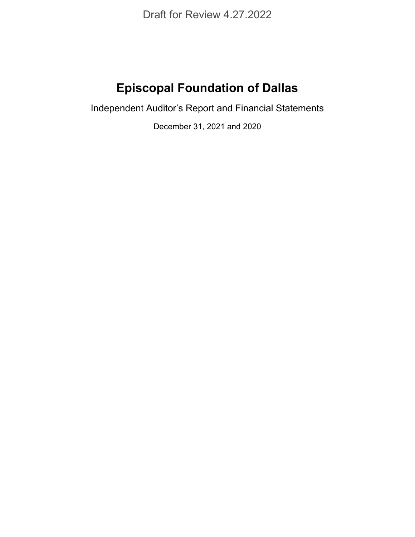# **Episcopal Foundation of Dallas**

Independent Auditor's Report and Financial Statements

December 31, 2021 and 2020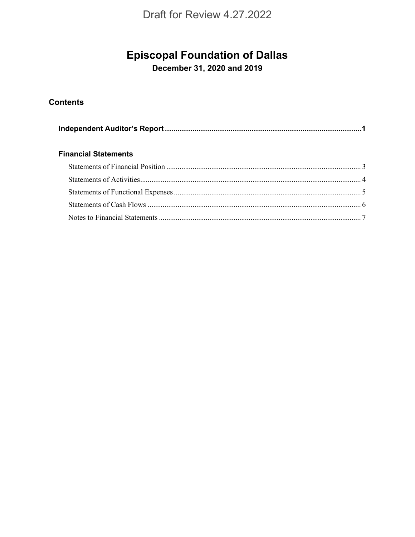December 31, 2020 and 2019

### **Contents**

| <b>Financial Statements</b> |  |
|-----------------------------|--|
|                             |  |
|                             |  |
|                             |  |
|                             |  |
|                             |  |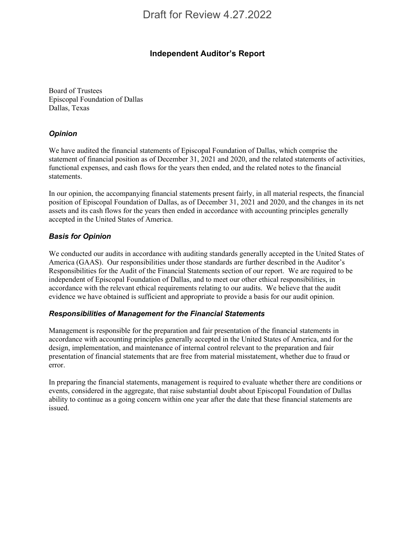### **Independent Auditor's Report**

Board of Trustees Episcopal Foundation of Dallas Dallas, Texas

#### *Opinion*

We have audited the financial statements of Episcopal Foundation of Dallas, which comprise the statement of financial position as of December 31, 2021 and 2020, and the related statements of activities, functional expenses, and cash flows for the years then ended, and the related notes to the financial statements.

In our opinion, the accompanying financial statements present fairly, in all material respects, the financial position of Episcopal Foundation of Dallas, as of December 31, 2021 and 2020, and the changes in its net assets and its cash flows for the years then ended in accordance with accounting principles generally accepted in the United States of America.

#### *Basis for Opinion*

We conducted our audits in accordance with auditing standards generally accepted in the United States of America (GAAS). Our responsibilities under those standards are further described in the Auditor's Responsibilities for the Audit of the Financial Statements section of our report. We are required to be independent of Episcopal Foundation of Dallas, and to meet our other ethical responsibilities, in accordance with the relevant ethical requirements relating to our audits. We believe that the audit evidence we have obtained is sufficient and appropriate to provide a basis for our audit opinion.

#### *Responsibilities of Management for the Financial Statements*

Management is responsible for the preparation and fair presentation of the financial statements in accordance with accounting principles generally accepted in the United States of America, and for the design, implementation, and maintenance of internal control relevant to the preparation and fair presentation of financial statements that are free from material misstatement, whether due to fraud or error.

In preparing the financial statements, management is required to evaluate whether there are conditions or events, considered in the aggregate, that raise substantial doubt about Episcopal Foundation of Dallas ability to continue as a going concern within one year after the date that these financial statements are issued.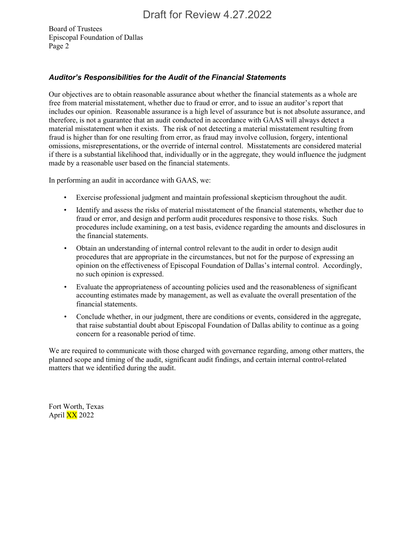Board of Trustees Episcopal Foundation of Dallas Page 2

#### *Auditor's Responsibilities for the Audit of the Financial Statements*

Our objectives are to obtain reasonable assurance about whether the financial statements as a whole are free from material misstatement, whether due to fraud or error, and to issue an auditor's report that includes our opinion. Reasonable assurance is a high level of assurance but is not absolute assurance, and therefore, is not a guarantee that an audit conducted in accordance with GAAS will always detect a material misstatement when it exists. The risk of not detecting a material misstatement resulting from fraud is higher than for one resulting from error, as fraud may involve collusion, forgery, intentional omissions, misrepresentations, or the override of internal control. Misstatements are considered material if there is a substantial likelihood that, individually or in the aggregate, they would influence the judgment made by a reasonable user based on the financial statements.

In performing an audit in accordance with GAAS, we:

- Exercise professional judgment and maintain professional skepticism throughout the audit.
- Identify and assess the risks of material misstatement of the financial statements, whether due to fraud or error, and design and perform audit procedures responsive to those risks. Such procedures include examining, on a test basis, evidence regarding the amounts and disclosures in the financial statements.
- Obtain an understanding of internal control relevant to the audit in order to design audit procedures that are appropriate in the circumstances, but not for the purpose of expressing an opinion on the effectiveness of Episcopal Foundation of Dallas's internal control. Accordingly, no such opinion is expressed.
- Evaluate the appropriateness of accounting policies used and the reasonableness of significant accounting estimates made by management, as well as evaluate the overall presentation of the financial statements.
- Conclude whether, in our judgment, there are conditions or events, considered in the aggregate, that raise substantial doubt about Episcopal Foundation of Dallas ability to continue as a going concern for a reasonable period of time.

We are required to communicate with those charged with governance regarding, among other matters, the planned scope and timing of the audit, significant audit findings, and certain internal control-related matters that we identified during the audit.

Fort Worth, Texas April XX 2022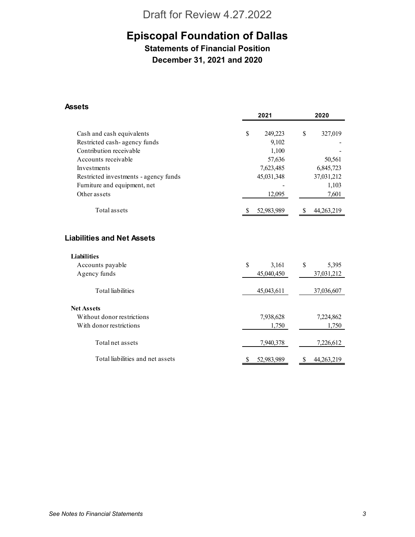# **Episcopal Foundation of Dallas Statements of Financial Position**

**December 31, 2021 and 2020** 

#### **Assets**

|                                                         | 2021             | 2020             |
|---------------------------------------------------------|------------------|------------------|
|                                                         |                  |                  |
| Cash and cash equivalents                               | \$<br>249,223    | \$<br>327,019    |
| Restricted cash-agency funds                            | 9,102            |                  |
| Contribution receivable                                 | 1,100            |                  |
| Accounts receivable                                     | 57,636           | 50,561           |
| Investments                                             | 7,623,485        | 6,845,723        |
| Restricted investments - agency funds                   | 45,031,348       | 37,031,212       |
| Furniture and equipment, net                            |                  | 1,103            |
| Other assets                                            | 12,095           | 7,601            |
| Total assets                                            | \$<br>52,983,989 | \$<br>44,263,219 |
| <b>Liabilities and Net Assets</b><br><b>Liabilities</b> |                  |                  |
| Accounts payable                                        | \$<br>3,161      | S<br>5,395       |
| Agency funds                                            | 45,040,450       | 37,031,212       |
|                                                         |                  |                  |
| <b>Total</b> liabilities                                | 45,043,611       | 37,036,607       |
| <b>Net Assets</b>                                       |                  |                  |
| Without donor restrictions                              | 7,938,628        | 7,224,862        |
| With donor restrictions                                 | 1,750            | 1,750            |
| Total net assets                                        | 7,940,378        | 7,226,612        |
| Total liabilities and net assets                        | \$<br>52,983,989 | 44,263,219<br>S  |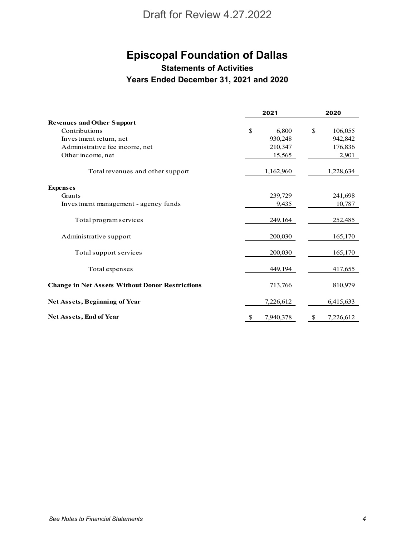# **Episcopal Foundation of Dallas**

### **Statements of Activities Years Ended December 31, 2021 and 2020**

|                                                        | 2021                  | 2020            |  |  |
|--------------------------------------------------------|-----------------------|-----------------|--|--|
| <b>Revenues and Other Support</b>                      |                       |                 |  |  |
| Contributions                                          | $\mathbb{S}$<br>6,800 | \$<br>106,055   |  |  |
| Investment return, net                                 | 930,248               | 942,842         |  |  |
| Administrative fee income, net                         | 210,347               | 176,836         |  |  |
| Other income, net                                      | 15,565                | 2,901           |  |  |
| Total revenues and other support                       | 1,162,960             | 1,228,634       |  |  |
| <b>Expenses</b>                                        |                       |                 |  |  |
| Grants                                                 | 239,729               | 241,698         |  |  |
| Investment management - agency funds                   | 9,435                 | 10,787          |  |  |
| Total program services                                 | 249,164               | 252,485         |  |  |
| Administrative support                                 | 200,030               | 165,170         |  |  |
| Total support services                                 | 200,030               | 165,170         |  |  |
| Total expenses                                         | 449,194               | 417,655         |  |  |
| <b>Change in Net Assets Without Donor Restrictions</b> | 713,766               | 810,979         |  |  |
| Net Assets, Beginning of Year                          | 7,226,612             | 6,415,633       |  |  |
| Net Assets, End of Year                                | 7.940.378<br>S        | 7,226,612<br>\$ |  |  |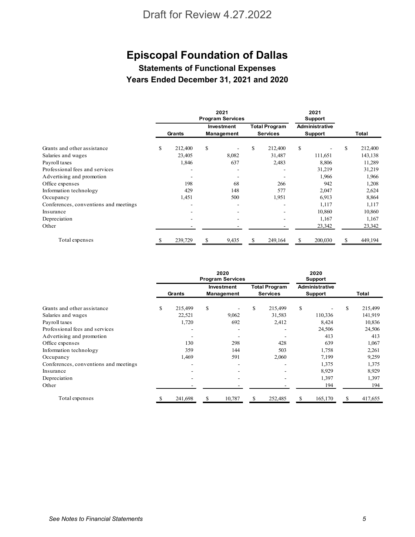# **Episcopal Foundation of Dallas**

### **Statements of Functional Expenses Years Ended December 31, 2021 and 2020**

|                                       |    |         | 2021<br><b>Program Services</b> |                      |     | 2021<br>Support       |               |
|---------------------------------------|----|---------|---------------------------------|----------------------|-----|-----------------------|---------------|
|                                       |    |         | Investment                      | <b>Total Program</b> |     | <b>Administrative</b> |               |
|                                       |    | Grants  | Management                      | <b>Services</b>      |     | <b>Support</b>        | Total         |
| Grants and other assistance           | \$ | 212,400 | \$                              | \$<br>212,400        | \$  |                       | \$<br>212,400 |
| Salaries and wages                    |    | 23,405  | 8,082                           | 31,487               |     | 111,651               | 143,138       |
| Payroll taxes                         |    | 1,846   | 637                             | 2,483                |     | 8,806                 | 11,289        |
| Professional fees and services        |    |         |                                 |                      |     | 31,219                | 31,219        |
| Advertising and promotion             |    |         |                                 |                      |     | 1,966                 | 1,966         |
| Office expenses                       |    | 198     | 68                              | 266                  |     | 942                   | 1,208         |
| Information technology                |    | 429     | 148                             | 577                  |     | 2,047                 | 2,624         |
| Occupancy                             |    | 1,451   | 500                             | 1,951                |     | 6,913                 | 8,864         |
| Conferences, conventions and meetings |    |         |                                 |                      |     | 1,117                 | 1,117         |
| Insurance                             |    |         |                                 |                      |     | 10,860                | 10,860        |
| Depreciation                          |    |         |                                 |                      |     | 1,167                 | 1,167         |
| Other                                 |    |         |                                 |                      |     | 23,342                | 23,342        |
| Total expenses                        | Ъ. | 239,729 | \$<br>9,435                     | \$<br>249,164        | \$. | 200,030               | 449,194       |

|                                       |               | 2020<br><b>Program Services</b> |                      | 2020<br>Support       |               |
|---------------------------------------|---------------|---------------------------------|----------------------|-----------------------|---------------|
|                                       |               | <b>Investment</b>               | <b>Total Program</b> | <b>Administrative</b> |               |
|                                       | Grants        | Management                      | <b>Services</b>      | Support               | Total         |
| Grants and other assistance           | \$<br>215,499 | \$                              | \$<br>215,499        | \$                    | \$<br>215,499 |
| Salaries and wages                    | 22,521        | 9,062                           | 31,583               | 110,336               | 141,919       |
| Payroll taxes                         | 1,720         | 692                             | 2,412                | 8,424                 | 10,836        |
| Professional fees and services        |               |                                 |                      | 24,506                | 24,506        |
| Advertising and promotion             |               |                                 |                      | 413                   | 413           |
| Office expenses                       | 130           | 298                             | 428                  | 639                   | 1,067         |
| Information technology                | 359           | 144                             | 503                  | 1,758                 | 2,261         |
| Occupancy                             | 1,469         | 591                             | 2,060                | 7,199                 | 9,259         |
| Conferences, conventions and meetings |               |                                 |                      | 1,375                 | 1,375         |
| Insurance                             |               |                                 |                      | 8,929                 | 8,929         |
| Depreciation                          |               |                                 |                      | 1,397                 | 1,397         |
| Other                                 |               |                                 |                      | 194                   | 194           |
| Total expenses                        | 241,698       | \$<br>10,787                    | \$<br>252,485        | 165,170               | 417,655       |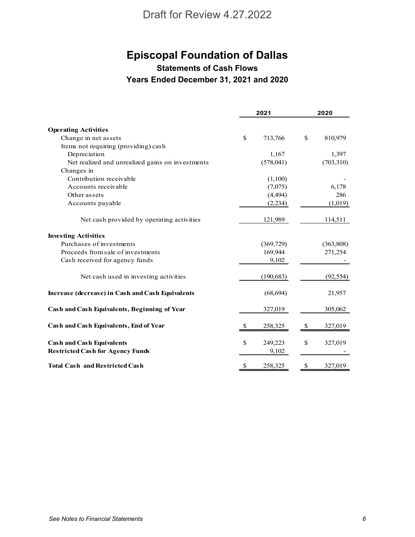# **Episcopal Foundation of Dallas**

### **Statements of Cash Flows Years Ended December 31, 2021 and 2020**

|                                                  |              | 2021       |               | 2020       |  |  |
|--------------------------------------------------|--------------|------------|---------------|------------|--|--|
|                                                  |              |            |               |            |  |  |
| <b>Operating Activities</b>                      |              |            |               |            |  |  |
| Change in net assets                             | $\mathbb{S}$ | 713,766    | \$            | 810,979    |  |  |
| Items not requiring (providing) cash             |              |            |               |            |  |  |
| Depreciation                                     |              | 1,167      |               | 1,397      |  |  |
| Net realized and unrealized gains on investments |              | (578, 041) |               | (703, 310) |  |  |
| Changes in                                       |              |            |               |            |  |  |
| Contribution receivable                          |              | (1,100)    |               |            |  |  |
| Accounts receivable                              |              | (7,075)    |               | 6,178      |  |  |
| Other assets                                     |              | (4, 494)   |               | 286        |  |  |
| Accounts payable                                 |              | (2,234)    |               | (1,019)    |  |  |
| Net cash provided by operating activities        |              | 121,989    |               | 114,511    |  |  |
| <b>Investing Activities</b>                      |              |            |               |            |  |  |
| Purchases of investments                         |              | (369, 729) |               | (363, 808) |  |  |
| Proceeds from sale of investments                |              | 169,944    |               | 271,254    |  |  |
| Cash received for agency funds                   |              | 9,102      |               |            |  |  |
| Net cash used in investing activities            |              | (190, 683) |               | (92, 554)  |  |  |
| Increase (decrease) in Cash and Cash Equivalents |              | (68, 694)  |               | 21,957     |  |  |
| Cash and Cash Equivalents, Beginning of Year     |              | 327,019    |               | 305,062    |  |  |
| Cash and Cash Equivalents, End of Year           | \$           | 258,325    | ${\mathbb S}$ | 327,019    |  |  |
| <b>Cash and Cash Equivalents</b>                 | \$           | 249,223    | \$            | 327,019    |  |  |
| <b>Restricted Cash for Agency Funds</b>          |              | 9,102      |               |            |  |  |
| <b>Total Cash and Restricted Cash</b>            | \$           | 258,325    | \$            | 327,019    |  |  |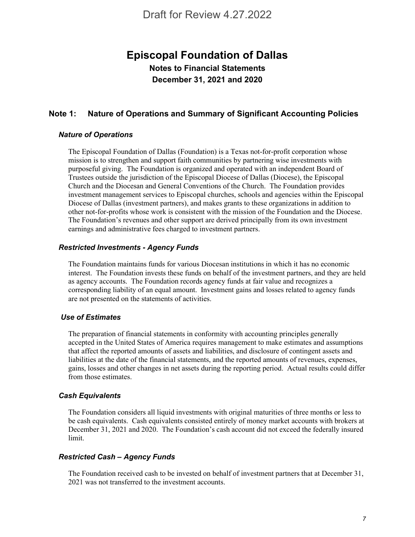**Notes to Financial Statements December 31, 2021 and 2020**

#### **Note 1: Nature of Operations and Summary of Significant Accounting Policies**

#### *Nature of Operations*

The Episcopal Foundation of Dallas (Foundation) is a Texas not-for-profit corporation whose mission is to strengthen and support faith communities by partnering wise investments with purposeful giving. The Foundation is organized and operated with an independent Board of Trustees outside the jurisdiction of the Episcopal Diocese of Dallas (Diocese), the Episcopal Church and the Diocesan and General Conventions of the Church. The Foundation provides investment management services to Episcopal churches, schools and agencies within the Episcopal Diocese of Dallas (investment partners), and makes grants to these organizations in addition to other not-for-profits whose work is consistent with the mission of the Foundation and the Diocese. The Foundation's revenues and other support are derived principally from its own investment earnings and administrative fees charged to investment partners.

#### *Restricted Investments - Agency Funds*

The Foundation maintains funds for various Diocesan institutions in which it has no economic interest. The Foundation invests these funds on behalf of the investment partners, and they are held as agency accounts. The Foundation records agency funds at fair value and recognizes a corresponding liability of an equal amount. Investment gains and losses related to agency funds are not presented on the statements of activities.

#### *Use of Estimates*

The preparation of financial statements in conformity with accounting principles generally accepted in the United States of America requires management to make estimates and assumptions that affect the reported amounts of assets and liabilities, and disclosure of contingent assets and liabilities at the date of the financial statements, and the reported amounts of revenues, expenses, gains, losses and other changes in net assets during the reporting period. Actual results could differ from those estimates.

#### *Cash Equivalents*

The Foundation considers all liquid investments with original maturities of three months or less to be cash equivalents. Cash equivalents consisted entirely of money market accounts with brokers at December 31, 2021 and 2020. The Foundation's cash account did not exceed the federally insured limit.

#### *Restricted Cash – Agency Funds*

The Foundation received cash to be invested on behalf of investment partners that at December 31, 2021 was not transferred to the investment accounts.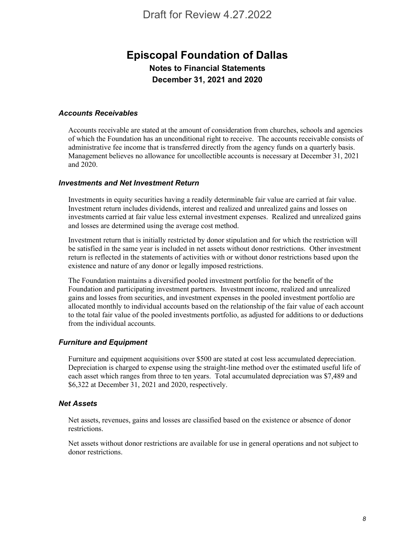#### *Accounts Receivables*

Accounts receivable are stated at the amount of consideration from churches, schools and agencies of which the Foundation has an unconditional right to receive. The accounts receivable consists of administrative fee income that is transferred directly from the agency funds on a quarterly basis. Management believes no allowance for uncollectible accounts is necessary at December 31, 2021 and 2020.

#### *Investments and Net Investment Return*

Investments in equity securities having a readily determinable fair value are carried at fair value. Investment return includes dividends, interest and realized and unrealized gains and losses on investments carried at fair value less external investment expenses. Realized and unrealized gains and losses are determined using the average cost method.

Investment return that is initially restricted by donor stipulation and for which the restriction will be satisfied in the same year is included in net assets without donor restrictions. Other investment return is reflected in the statements of activities with or without donor restrictions based upon the existence and nature of any donor or legally imposed restrictions.

The Foundation maintains a diversified pooled investment portfolio for the benefit of the Foundation and participating investment partners. Investment income, realized and unrealized gains and losses from securities, and investment expenses in the pooled investment portfolio are allocated monthly to individual accounts based on the relationship of the fair value of each account to the total fair value of the pooled investments portfolio, as adjusted for additions to or deductions from the individual accounts.

#### *Furniture and Equipment*

Furniture and equipment acquisitions over \$500 are stated at cost less accumulated depreciation. Depreciation is charged to expense using the straight-line method over the estimated useful life of each asset which ranges from three to ten years. Total accumulated depreciation was \$7,489 and \$6,322 at December 31, 2021 and 2020, respectively.

#### *Net Assets*

Net assets, revenues, gains and losses are classified based on the existence or absence of donor restrictions.

Net assets without donor restrictions are available for use in general operations and not subject to donor restrictions.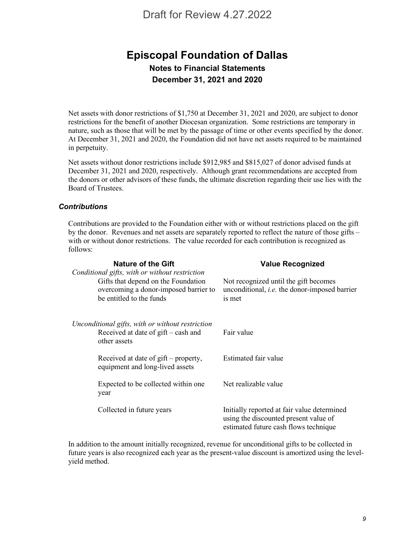Net assets with donor restrictions of \$1,750 at December 31, 2021 and 2020, are subject to donor restrictions for the benefit of another Diocesan organization. Some restrictions are temporary in nature, such as those that will be met by the passage of time or other events specified by the donor. At December 31, 2021 and 2020, the Foundation did not have net assets required to be maintained in perpetuity.

Net assets without donor restrictions include \$912,985 and \$815,027 of donor advised funds at December 31, 2021 and 2020, respectively. Although grant recommendations are accepted from the donors or other advisors of these funds, the ultimate discretion regarding their use lies with the Board of Trustees.

#### *Contributions*

Contributions are provided to the Foundation either with or without restrictions placed on the gift by the donor. Revenues and net assets are separately reported to reflect the nature of those gifts – with or without donor restrictions. The value recorded for each contribution is recognized as follows:

| <b>Nature of the Gift</b>                                                                                                                                  | <b>Value Recognized</b>                                                                                                       |
|------------------------------------------------------------------------------------------------------------------------------------------------------------|-------------------------------------------------------------------------------------------------------------------------------|
| Conditional gifts, with or without restriction<br>Gifts that depend on the Foundation<br>overcoming a donor-imposed barrier to<br>be entitled to the funds | Not recognized until the gift becomes<br>unconditional, i.e. the donor-imposed barrier<br>is met                              |
| Unconditional gifts, with or without restriction<br>Received at date of gift – cash and<br>other assets                                                    | Fair value                                                                                                                    |
| Received at date of gift – property,<br>equipment and long-lived assets                                                                                    | Estimated fair value                                                                                                          |
| Expected to be collected within one<br>year                                                                                                                | Net realizable value                                                                                                          |
| Collected in future years                                                                                                                                  | Initially reported at fair value determined<br>using the discounted present value of<br>estimated future cash flows technique |

In addition to the amount initially recognized, revenue for unconditional gifts to be collected in future years is also recognized each year as the present-value discount is amortized using the levelyield method.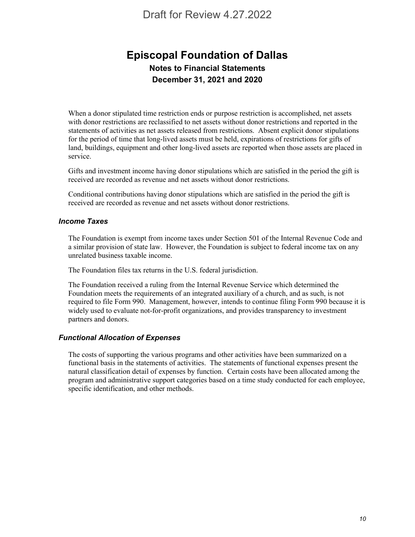When a donor stipulated time restriction ends or purpose restriction is accomplished, net assets with donor restrictions are reclassified to net assets without donor restrictions and reported in the statements of activities as net assets released from restrictions. Absent explicit donor stipulations for the period of time that long-lived assets must be held, expirations of restrictions for gifts of land, buildings, equipment and other long-lived assets are reported when those assets are placed in service.

Gifts and investment income having donor stipulations which are satisfied in the period the gift is received are recorded as revenue and net assets without donor restrictions.

Conditional contributions having donor stipulations which are satisfied in the period the gift is received are recorded as revenue and net assets without donor restrictions.

#### *Income Taxes*

The Foundation is exempt from income taxes under Section 501 of the Internal Revenue Code and a similar provision of state law. However, the Foundation is subject to federal income tax on any unrelated business taxable income.

The Foundation files tax returns in the U.S. federal jurisdiction.

The Foundation received a ruling from the Internal Revenue Service which determined the Foundation meets the requirements of an integrated auxiliary of a church, and as such, is not required to file Form 990. Management, however, intends to continue filing Form 990 because it is widely used to evaluate not-for-profit organizations, and provides transparency to investment partners and donors.

#### *Functional Allocation of Expenses*

The costs of supporting the various programs and other activities have been summarized on a functional basis in the statements of activities. The statements of functional expenses present the natural classification detail of expenses by function. Certain costs have been allocated among the program and administrative support categories based on a time study conducted for each employee, specific identification, and other methods.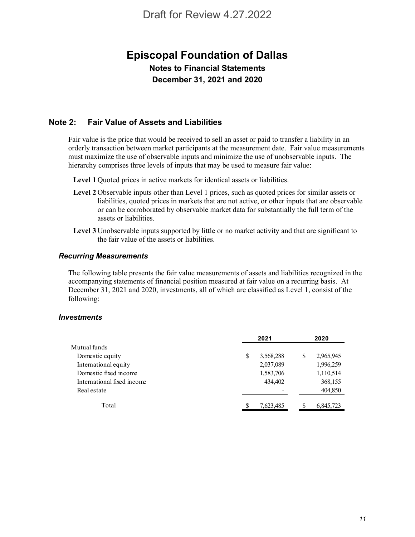### **Notes to Financial Statements December 31, 2021 and 2020**

#### **Note 2: Fair Value of Assets and Liabilities**

Fair value is the price that would be received to sell an asset or paid to transfer a liability in an orderly transaction between market participants at the measurement date. Fair value measurements must maximize the use of observable inputs and minimize the use of unobservable inputs. The hierarchy comprises three levels of inputs that may be used to measure fair value:

**Level 1** Quoted prices in active markets for identical assets or liabilities.

- **Level 2** Observable inputs other than Level 1 prices, such as quoted prices for similar assets or liabilities, quoted prices in markets that are not active, or other inputs that are observable or can be corroborated by observable market data for substantially the full term of the assets or liabilities.
- **Level 3** Unobservable inputs supported by little or no market activity and that are significant to the fair value of the assets or liabilities.

#### *Recurring Measurements*

The following table presents the fair value measurements of assets and liabilities recognized in the accompanying statements of financial position measured at fair value on a recurring basis. At December 31, 2021 and 2020, investments, all of which are classified as Level 1, consist of the following:

#### *Investments*

|                            |    | 2021      | 2020            |
|----------------------------|----|-----------|-----------------|
| Mutual funds               |    |           |                 |
| Domestic equity            | \$ | 3,568,288 | \$<br>2,965,945 |
| International equity       |    | 2,037,089 | 1,996,259       |
| Domestic fixed income      |    | 1,583,706 | 1,110,514       |
| International fixed income |    | 434,402   | 368,155         |
| Real estate                |    |           | 404,850         |
|                            |    |           |                 |
| Total                      | S  | 7,623,485 | 6,845,723       |
|                            |    |           |                 |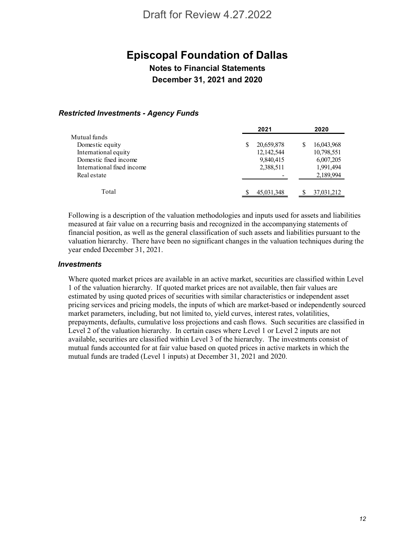#### **Notes to Financial Statements December 31, 2021 and 2020**

#### *Restricted Investments - Agency Funds*

|                            | 2021       | 2020       |
|----------------------------|------------|------------|
| Mutual funds               |            |            |
| Domestic equity            | 20,659,878 | 16,043,968 |
| International equity       | 12,142,544 | 10,798,551 |
| Domestic fixed income      | 9,840,415  | 6,007,205  |
| International fixed income | 2,388,511  | 1,991,494  |
| Real estate                |            | 2,189,994  |
| Total                      | 45,031,348 | 37,031,212 |

Following is a description of the valuation methodologies and inputs used for assets and liabilities measured at fair value on a recurring basis and recognized in the accompanying statements of financial position, as well as the general classification of such assets and liabilities pursuant to the valuation hierarchy. There have been no significant changes in the valuation techniques during the year ended December 31, 2021.

#### *Investments*

Where quoted market prices are available in an active market, securities are classified within Level 1 of the valuation hierarchy. If quoted market prices are not available, then fair values are estimated by using quoted prices of securities with similar characteristics or independent asset pricing services and pricing models, the inputs of which are market-based or independently sourced market parameters, including, but not limited to, yield curves, interest rates, volatilities, prepayments, defaults, cumulative loss projections and cash flows. Such securities are classified in Level 2 of the valuation hierarchy. In certain cases where Level 1 or Level 2 inputs are not available, securities are classified within Level 3 of the hierarchy. The investments consist of mutual funds accounted for at fair value based on quoted prices in active markets in which the mutual funds are traded (Level 1 inputs) at December 31, 2021 and 2020.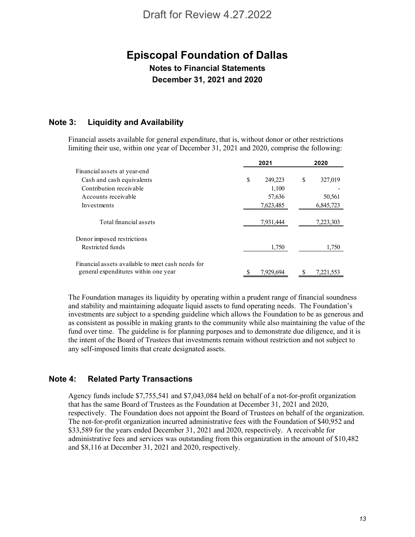**Notes to Financial Statements December 31, 2021 and 2020**

#### **Note 3: Liquidity and Availability**

Financial assets available for general expenditure, that is, without donor or other restrictions limiting their use, within one year of December 31, 2021 and 2020, comprise the following:

|                                                                                           | 2021          |   | 2020      |  |  |
|-------------------------------------------------------------------------------------------|---------------|---|-----------|--|--|
| Financial assets at year-end                                                              |               |   |           |  |  |
| Cash and cash equivalents                                                                 | \$<br>249,223 | S | 327,019   |  |  |
| Contribution receivable                                                                   | 1,100         |   |           |  |  |
| Accounts receivable                                                                       | 57,636        |   | 50,561    |  |  |
| Investments                                                                               | 7,623,485     |   | 6,845,723 |  |  |
| Total financial assets                                                                    | 7,931,444     |   | 7,223,303 |  |  |
| Donor imposed restrictions                                                                |               |   |           |  |  |
| Restricted funds                                                                          | 1,750         |   | 1,750     |  |  |
| Financial assets available to meet cash needs for<br>general expenditures within one year | 7,929,694     |   | 7,221,553 |  |  |

The Foundation manages its liquidity by operating within a prudent range of financial soundness and stability and maintaining adequate liquid assets to fund operating needs. The Foundation's investments are subject to a spending guideline which allows the Foundation to be as generous and as consistent as possible in making grants to the community while also maintaining the value of the fund over time. The guideline is for planning purposes and to demonstrate due diligence, and it is the intent of the Board of Trustees that investments remain without restriction and not subject to any self-imposed limits that create designated assets.

#### **Note 4: Related Party Transactions**

Agency funds include \$7,755,541 and \$7,043,084 held on behalf of a not-for-profit organization that has the same Board of Trustees as the Foundation at December 31, 2021 and 2020, respectively. The Foundation does not appoint the Board of Trustees on behalf of the organization. The not-for-profit organization incurred administrative fees with the Foundation of \$40,952 and \$33,589 for the years ended December 31, 2021 and 2020, respectively. A receivable for administrative fees and services was outstanding from this organization in the amount of \$10,482 and \$8,116 at December 31, 2021 and 2020, respectively.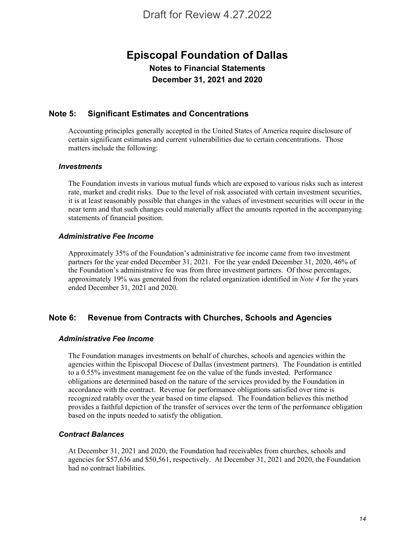#### **Note 5: Significant Estimates and Concentrations**

Accounting principles generally accepted in the United States of America require disclosure of certain significant estimates and current vulnerabilities due to certain concentrations. Those matters include the following:

#### *Investments*

The Foundation invests in various mutual funds which are exposed to various risks such as interest rate, market and credit risks. Due to the level of risk associated with certain investment securities, it is at least reasonably possible that changes in the values of investment securities will occur in the near term and that such changes could materially affect the amounts reported in the accompanying statements of financial position.

#### *Administrative Fee Income*

Approximately 35% of the Foundation's administrative fee income came from two investment partners for the year ended December 31, 2021. For the year ended December 31, 2020, 46% of the Foundation's administrative fee was from three investment partners. Of those percentages, approximately 19% was generated from the related organization identified in *Note 4* for the years ended December 31, 2021 and 2020.

#### **Note 6: Revenue from Contracts with Churches, Schools and Agencies**

#### *Administrative Fee Income*

The Foundation manages investments on behalf of churches, schools and agencies within the agencies within the Episcopal Diocese of Dallas (investment partners). The Foundation is entitled to a 0.55% investment management fee on the value of the funds invested. Performance obligations are determined based on the nature of the services provided by the Foundation in accordance with the contract. Revenue for performance obligations satisfied over time is recognized ratably over the year based on time elapsed. The Foundation believes this method provides a faithful depiction of the transfer of services over the term of the performance obligation based on the inputs needed to satisfy the obligation.

#### *Contract Balances*

At December 31, 2021 and 2020, the Foundation had receivables from churches, schools and agencies for \$57,636 and \$50,561, respectively. At December 31, 2021 and 2020, the Foundation had no contract liabilities.